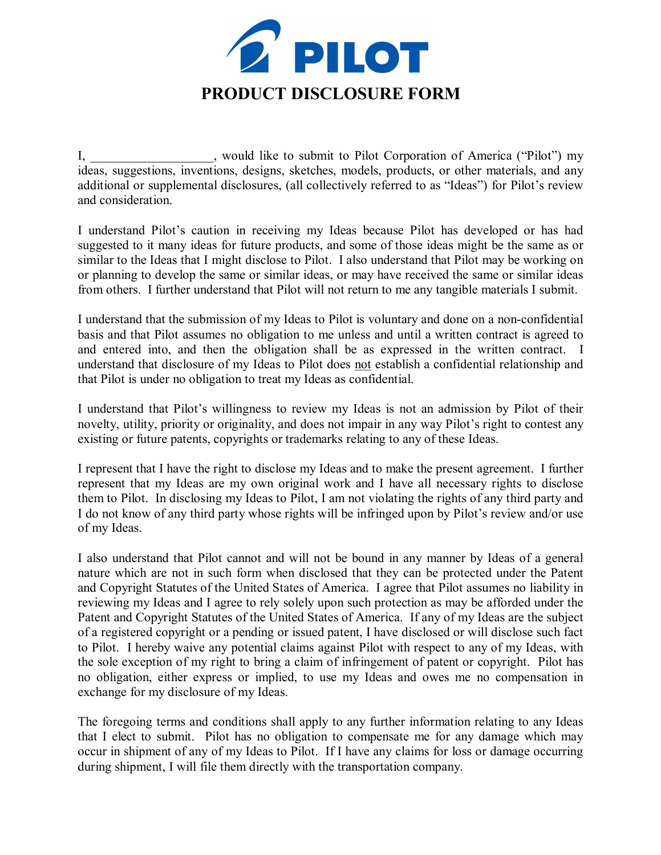

I, \_\_\_\_\_\_\_\_\_\_\_\_\_\_\_\_\_\_\_, would like to submit to Pilot Corporation of America ("Pilot") my ideas, suggestions, inventions, designs, sketches, models, products, or other materials, and any additional or supplemental disclosures, (all collectively referred to as "Ideas") for Pilot's review and consideration.

I understand Pilot's caution in receiving my Ideas because Pilot has developed or has had suggested to it many ideas for future products, and some of those ideas might be the same as or similar to the Ideas that I might disclose to Pilot. I also understand that Pilot may be working on or planning to develop the same or similar ideas, or may have received the same or similar ideas from others. I further understand that Pilot will not return to me any tangible materials I submit.

I understand that the submission of my Ideas to Pilot is voluntary and done on a nonconfidential basis and that Pilot assumes no obligation to me unless and until a written contract is agreed to and entered into, and then the obligation shall be as expressed in the written contract. I understand that disclosure of my Ideas to Pilot does not establish a confidential relationship and that Pilot is under no obligation to treat my Ideas as confidential.

I understand that Pilot's willingness to review my Ideas is not an admission by Pilot of their novelty, utility, priority or originality, and does not impair in any way Pilot's right to contest any existing or future patents, copyrights or trademarks relating to any of these Ideas.

I represent that I have the right to disclose my Ideas and to make the present agreement. I further represent that my Ideas are my own original work and I have all necessary rights to disclose them to Pilot. In disclosing my Ideas to Pilot, I am not violating the rights of any third party and I do not know of any third party whose rights will be infringed upon by Pilot's review and/or use of my Ideas.

I also understand that Pilot cannot and will not be bound in any manner by Ideas of a general nature which are not in such form when disclosed that they can be protected under the Patent and Copyright Statutes of the United States of America. I agree that Pilot assumes no liability in reviewing my Ideas and I agree to rely solely upon such protection as may be afforded under the Patent and Copyright Statutes of the United States of America. If any of my Ideas are the subject of a registered copyright or a pending or issued patent, I have disclosed or will disclose such fact to Pilot. I hereby waive any potential claims against Pilot with respect to any of my Ideas, with the sole exception of my right to bring a claim of infringement of patent or copyright. Pilot has no obligation, either express or implied, to use my Ideas and owes me no compensation in exchange for my disclosure of my Ideas.

The foregoing terms and conditions shall apply to any further information relating to any Ideas that I elect to submit. Pilot has no obligation to compensate me for any damage which may occur in shipment of any of my Ideas to Pilot. If I have any claims for loss or damage occurring during shipment, I will file them directly with the transportation company.